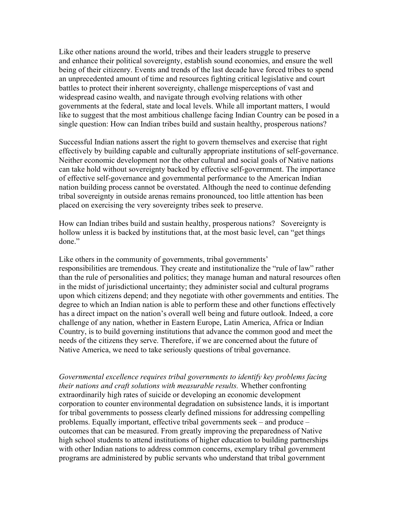Like other nations around the world, tribes and their leaders struggle to preserve and enhance their political sovereignty, establish sound economies, and ensure the well being of their citizenry. Events and trends of the last decade have forced tribes to spend an unprecedented amount of time and resources fighting critical legislative and court battles to protect their inherent sovereignty, challenge misperceptions of vast and widespread casino wealth, and navigate through evolving relations with other governments at the federal, state and local levels. While all important matters, I would like to suggest that the most ambitious challenge facing Indian Country can be posed in a single question: How can Indian tribes build and sustain healthy, prosperous nations?

Successful Indian nations assert the right to govern themselves and exercise that right effectively by building capable and culturally appropriate institutions of self-governance. Neither economic development nor the other cultural and social goals of Native nations can take hold without sovereignty backed by effective self-government. The importance of effective self-governance and governmental performance to the American Indian nation building process cannot be overstated. Although the need to continue defending tribal sovereignty in outside arenas remains pronounced, too little attention has been placed on exercising the very sovereignty tribes seek to preserve.

How can Indian tribes build and sustain healthy, prosperous nations? Sovereignty is hollow unless it is backed by institutions that, at the most basic level, can "get things done."

Like others in the community of governments, tribal governments' responsibilities are tremendous. They create and institutionalize the "rule of law" rather than the rule of personalities and politics; they manage human and natural resources often in the midst of jurisdictional uncertainty; they administer social and cultural programs upon which citizens depend; and they negotiate with other governments and entities. The degree to which an Indian nation is able to perform these and other functions effectively has a direct impact on the nation's overall well being and future outlook. Indeed, a core challenge of any nation, whether in Eastern Europe, Latin America, Africa or Indian Country, is to build governing institutions that advance the common good and meet the needs of the citizens they serve. Therefore, if we are concerned about the future of Native America, we need to take seriously questions of tribal governance.

Governmental excellence requires tribal governments to identify key problems facing their nations and craft solutions with measurable results. Whether confronting extraordinarily high rates of suicide or developing an economic development corporation to counter environmental degradation on subsistence lands, it is important for tribal governments to possess clearly defined missions for addressing compelling problems. Equally important, effective tribal governments seek – and produce – outcomes that can be measured. From greatly improving the preparedness of Native high school students to attend institutions of higher education to building partnerships with other Indian nations to address common concerns, exemplary tribal government programs are administered by public servants who understand that tribal government